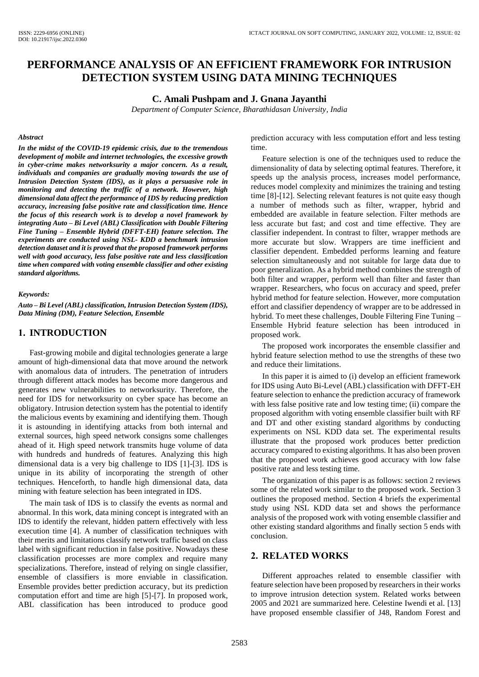# **PERFORMANCE ANALYSIS OF AN EFFICIENT FRAMEWORK FOR INTRUSION DETECTION SYSTEM USING DATA MINING TECHNIQUES**

#### **C. Amali Pushpam and J. Gnana Jayanthi**

*Department of Computer Science, Bharathidasan University, India*

#### *Abstract*

*In the midst of the COVID-19 epidemic crisis, due to the tremendous development of mobile and internet technologies, the excessive growth in cyber-crime makes networksurity a major concern. As a result, individuals and companies are gradually moving towards the use of Intrusion Detection System (IDS), as it plays a persuasive role in monitoring and detecting the traffic of a network. However, high dimensional data affect the performance of IDS by reducing prediction accuracy, increasing false positive rate and classification time. Hence the focus of this research work is to develop a novel framework by integrating Auto – Bi Level (ABL) Classification with Double Filtering Fine Tuning – Ensemble Hybrid (DFFT-EH) feature selection. The experiments are conducted using NSL- KDD a benchmark intrusion detection dataset and it is proved that the proposed framework performs well with good accuracy, less false positive rate and less classification time when compared with voting ensemble classifier and other existing standard algorithms.*

#### *Keywords:*

*Auto – Bi Level (ABL) classification, Intrusion Detection System (IDS), Data Mining (DM), Feature Selection, Ensemble*

#### **1. INTRODUCTION**

Fast-growing mobile and digital technologies generate a large amount of high-dimensional data that move around the network with anomalous data of intruders. The penetration of intruders through different attack modes has become more dangerous and generates new vulnerabilities to networksurity. Therefore, the need for IDS for networksurity on cyber space has become an obligatory. Intrusion detection system has the potential to identify the malicious events by examining and identifying them. Though it is astounding in identifying attacks from both internal and external sources, high speed network consigns some challenges ahead of it. High speed network transmits huge volume of data with hundreds and hundreds of features. Analyzing this high dimensional data is a very big challenge to IDS [1]-[3]. IDS is unique in its ability of incorporating the strength of other techniques. Henceforth, to handle high dimensional data, data mining with feature selection has been integrated in IDS.

The main task of IDS is to classify the events as normal and abnormal. In this work, data mining concept is integrated with an IDS to identify the relevant, hidden pattern effectively with less execution time [4]. A number of classification techniques with their merits and limitations classify network traffic based on class label with significant reduction in false positive. Nowadays these classification processes are more complex and require many specializations. Therefore, instead of relying on single classifier, ensemble of classifiers is more enviable in classification. Ensemble provides better prediction accuracy, but its prediction computation effort and time are high [5]-[7]. In proposed work, ABL classification has been introduced to produce good

prediction accuracy with less computation effort and less testing time.

Feature selection is one of the techniques used to reduce the dimensionality of data by selecting optimal features. Therefore, it speeds up the analysis process, increases model performance, reduces model complexity and minimizes the training and testing time [8]-[12]. Selecting relevant features is not quite easy though a number of methods such as filter, wrapper, hybrid and embedded are available in feature selection. Filter methods are less accurate but fast; and cost and time effective. They are classifier independent. In contrast to filter, wrapper methods are more accurate but slow. Wrappers are time inefficient and classifier dependent. Embedded performs learning and feature selection simultaneously and not suitable for large data due to poor generalization. As a hybrid method combines the strength of both filter and wrapper, perform well than filter and faster than wrapper. Researchers, who focus on accuracy and speed, prefer hybrid method for feature selection. However, more computation effort and classifier dependency of wrapper are to be addressed in hybrid. To meet these challenges, Double Filtering Fine Tuning – Ensemble Hybrid feature selection has been introduced in proposed work.

The proposed work incorporates the ensemble classifier and hybrid feature selection method to use the strengths of these two and reduce their limitations.

In this paper it is aimed to (i) develop an efficient framework for IDS using Auto Bi-Level (ABL) classification with DFFT-EH feature selection to enhance the prediction accuracy of framework with less false positive rate and low testing time; (ii) compare the proposed algorithm with voting ensemble classifier built with RF and DT and other existing standard algorithms by conducting experiments on NSL KDD data set. The experimental results illustrate that the proposed work produces better prediction accuracy compared to existing algorithms. It has also been proven that the proposed work achieves good accuracy with low false positive rate and less testing time.

The organization of this paper is as follows: section 2 reviews some of the related work similar to the proposed work. Section 3 outlines the proposed method. Section 4 briefs the experimental study using NSL KDD data set and shows the performance analysis of the proposed work with voting ensemble classifier and other existing standard algorithms and finally section 5 ends with conclusion.

## **2. RELATED WORKS**

Different approaches related to ensemble classifier with feature selection have been proposed by researchers in their works to improve intrusion detection system. Related works between 2005 and 2021 are summarized here. Celestine Iwendi et al. [13] have proposed ensemble classifier of J48, Random Forest and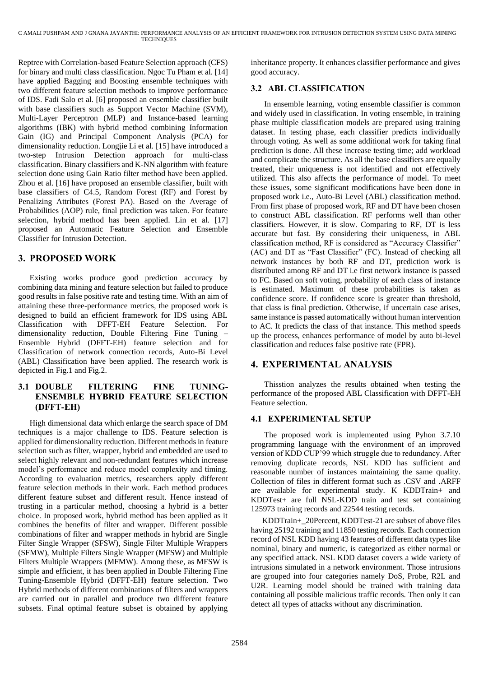Reptree with Correlation-based Feature Selection approach (CFS) for binary and multi class classification. Ngoc Tu Pham et al. [14] have applied Bagging and Boosting ensemble techniques with two different feature selection methods to improve performance of IDS. Fadi Salo et al. [6] proposed an ensemble classifier built with base classifiers such as Support Vector Machine (SVM), Multi-Layer Perceptron (MLP) and Instance-based learning algorithms (IBK) with hybrid method combining Information Gain (IG) and Principal Component Analysis (PCA) for dimensionality reduction. Longjie Li et al. [15] have introduced a two-step Intrusion Detection approach for multi-class classification. Binary classifiers and K-NN algorithm with feature selection done using Gain Ratio filter method have been applied. Zhou et al. [16] have proposed an ensemble classifier, built with base classifiers of C4.5, Random Forest (RF) and Forest by Penalizing Attributes (Forest PA). Based on the Average of Probabilities (AOP) rule, final prediction was taken. For feature selection, hybrid method has been applied. Lin et al. [17] proposed an Automatic Feature Selection and Ensemble Classifier for Intrusion Detection.

# **3. PROPOSED WORK**

Existing works produce good prediction accuracy by combining data mining and feature selection but failed to produce good results in false positive rate and testing time. With an aim of attaining these three-performance metrics, the proposed work is designed to build an efficient framework for IDS using ABL Classification with DFFT-EH Feature Selection. For dimensionality reduction, Double Filtering Fine Tuning – Ensemble Hybrid (DFFT-EH) feature selection and for Classification of network connection records, Auto-Bi Level (ABL) Classification have been applied. The research work is depicted in Fig.1 and Fig.2.

## **3.1 DOUBLE FILTERING FINE TUNING-ENSEMBLE HYBRID FEATURE SELECTION (DFFT-EH)**

High dimensional data which enlarge the search space of DM techniques is a major challenge to IDS. Feature selection is applied for dimensionality reduction. Different methods in feature selection such as filter, wrapper, hybrid and embedded are used to select highly relevant and non-redundant features which increase model's performance and reduce model complexity and timing. According to evaluation metrics, researchers apply different feature selection methods in their work. Each method produces different feature subset and different result. Hence instead of trusting in a particular method, choosing a hybrid is a better choice. In proposed work, hybrid method has been applied as it combines the benefits of filter and wrapper. Different possible combinations of filter and wrapper methods in hybrid are Single Filter Single Wrapper (SFSW), Single Filter Multiple Wrappers (SFMW), Multiple Filters Single Wrapper (MFSW) and Multiple Filters Multiple Wrappers (MFMW). Among these, as MFSW is simple and efficient, it has been applied in Double Filtering Fine Tuning-Ensemble Hybrid (DFFT-EH) feature selection. Two Hybrid methods of different combinations of filters and wrappers are carried out in parallel and produce two different feature subsets. Final optimal feature subset is obtained by applying

inheritance property. It enhances classifier performance and gives good accuracy.

## **3.2 ABL CLASSIFICATION**

In ensemble learning, voting ensemble classifier is common and widely used in classification. In voting ensemble, in training phase multiple classification models are prepared using training dataset. In testing phase, each classifier predicts individually through voting. As well as some additional work for taking final prediction is done. All these increase testing time; add workload and complicate the structure. As all the base classifiers are equally treated, their uniqueness is not identified and not effectively utilized. This also affects the performance of model. To meet these issues, some significant modifications have been done in proposed work i.e., Auto-Bi Level (ABL) classification method. From first phase of proposed work, RF and DT have been chosen to construct ABL classification. RF performs well than other classifiers. However, it is slow. Comparing to RF, DT is less accurate but fast. By considering their uniqueness, in ABL classification method, RF is considered as "Accuracy Classifier" (AC) and DT as "Fast Classifier" (FC). Instead of checking all network instances by both RF and DT, prediction work is distributed among RF and DT i.e first network instance is passed to FC. Based on soft voting, probability of each class of instance is estimated. Maximum of these probabilities is taken as confidence score. If confidence score is greater than threshold, that class is final prediction. Otherwise, if uncertain case arises, same instance is passed automatically without human intervention to AC. It predicts the class of that instance. This method speeds up the process, enhances performance of model by auto bi-level classification and reduces false positive rate (FPR).

## **4. EXPERIMENTAL ANALYSIS**

Thisstion analyzes the results obtained when testing the performance of the proposed ABL Classification with DFFT-EH Feature selection.

## **4.1 EXPERIMENTAL SETUP**

The proposed work is implemented using Pyhon 3.7.10 programming language with the environment of an improved version of KDD CUP'99 which struggle due to redundancy. After removing duplicate records, NSL KDD has sufficient and reasonable number of instances maintaining the same quality. Collection of files in different format such as .CSV and .ARFF are available for experimental study. K KDDTrain+ and KDDTest+ are full NSL-KDD train and test set containing 125973 training records and 22544 testing records.

KDDTrain+\_20Percent, KDDTest-21 are subset of above files having 25192 training and 11850 testing records. Each connection record of NSL KDD having 43 features of different data types like nominal, binary and numeric, is categorized as either normal or any specified attack. NSL KDD dataset covers a wide variety of intrusions simulated in a network environment. Those intrusions are grouped into four categories namely DoS, Probe, R2L and U2R. Learning model should be trained with training data containing all possible malicious traffic records. Then only it can detect all types of attacks without any discrimination.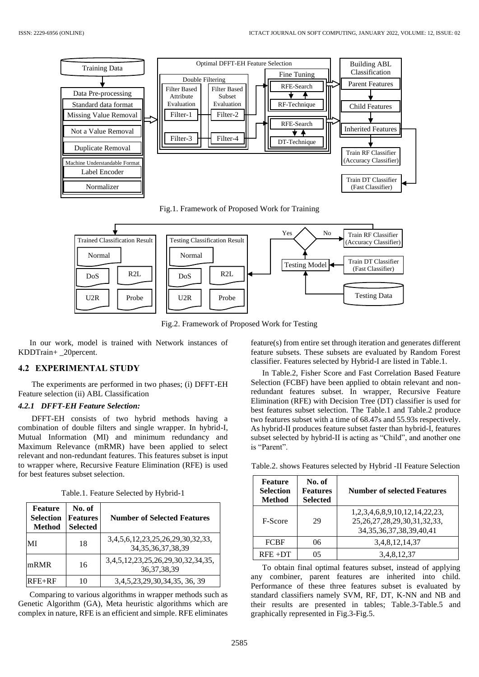

Fig.1. Framework of Proposed Work for Training



Fig.2. Framework of Proposed Work for Testing

In our work, model is trained with Network instances of KDDTrain+ \_20percent.

#### **4.2 EXPERIMENTAL STUDY**

The experiments are performed in two phases; (i) DFFT-EH Feature selection (ii) ABL Classification

#### *4.2.1 DFFT-EH Feature Selection:*

DFFT-EH consists of two hybrid methods having a combination of double filters and single wrapper. In hybrid-I, Mutual Information (MI) and minimum redundancy and Maximum Relevance (mRMR) have been applied to select relevant and non-redundant features. This features subset is input to wrapper where, Recursive Feature Elimination (RFE) is used for best features subset selection.

|  | Table.1. Feature Selected by Hybrid-1 |  |  |
|--|---------------------------------------|--|--|
|  |                                       |  |  |

| Feature<br><b>Selection</b><br><b>Method</b> | No. of<br><b>Features</b><br><b>Selected</b> | <b>Number of Selected Features</b>                         |
|----------------------------------------------|----------------------------------------------|------------------------------------------------------------|
| MI                                           | 18                                           | 3,4,5,6,12,23,25,26,29,30,32,33,<br>34, 35, 36, 37, 38, 39 |
| mRMR                                         | 16                                           | 3,4,5,12,23,25,26,29,30,32,34,35,<br>36, 37, 38, 39        |
| $RFE + RF$                                   | 10                                           | 3,4,5,23,29,30,34,35, 36, 39                               |

Comparing to various algorithms in wrapper methods such as Genetic Algorithm (GA), Meta heuristic algorithms which are complex in nature, RFE is an efficient and simple. RFE eliminates feature(s) from entire set through iteration and generates different feature subsets. These subsets are evaluated by Random Forest classifier. Features selected by Hybrid-I are listed in Table.1.

In Table.2, Fisher Score and Fast Correlation Based Feature Selection (FCBF) have been applied to obtain relevant and nonredundant features subset. In wrapper, Recursive Feature Elimination (RFE) with Decision Tree (DT) classifier is used for best features subset selection. The Table.1 and Table.2 produce two features subset with a time of 68.47s and 55.93s respectively. As hybrid-II produces feature subset faster than hybrid-I, features subset selected by hybrid-II is acting as "Child", and another one is "Parent".

Table.2. shows Features selected by Hybrid -II Feature Selection

| Feature<br><b>Selection</b><br><b>Method</b> | No. of<br><b>Features</b><br><b>Selected</b> | <b>Number of selected Features</b>                                                                                |
|----------------------------------------------|----------------------------------------------|-------------------------------------------------------------------------------------------------------------------|
| F-Score                                      | 29                                           | 1, 2, 3, 4, 6, 8, 9, 10, 12, 14, 22, 23,<br>25, 26, 27, 28, 29, 30, 31, 32, 33,<br>34, 35, 36, 37, 38, 39, 40, 41 |
| <b>FCBF</b>                                  | 06                                           | 3, 4, 8, 12, 14, 37                                                                                               |
| $RFE + DT$                                   | በና                                           | 3,4,8,12,37                                                                                                       |

To obtain final optimal features subset, instead of applying any combiner, parent features are inherited into child. Performance of these three features subset is evaluated by standard classifiers namely SVM, RF, DT, K-NN and NB and their results are presented in tables; Table.3-Table.5 and graphically represented in Fig.3-Fig.5.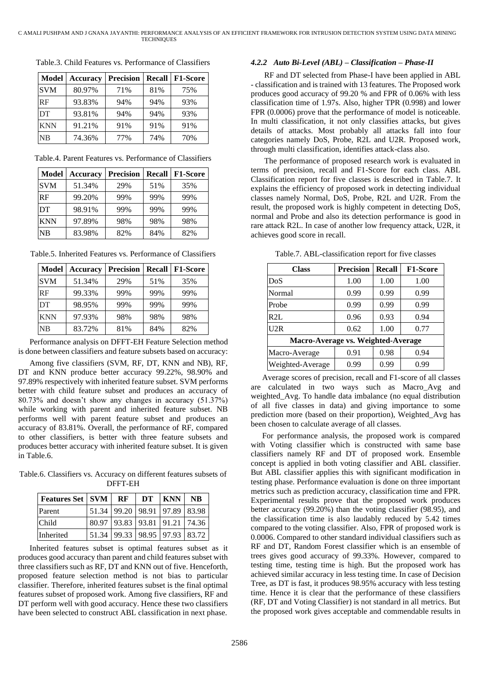| <b>Model</b> | Accuracy | <b>Precision</b> | <b>Recall</b> | F1-Score |
|--------------|----------|------------------|---------------|----------|
| <b>SVM</b>   | 80.97%   | 71%              | 81%           | 75%      |
| RF           | 93.83%   | 94%              | 94%           | 93%      |
| DT           | 93.81%   | 94%              | 94%           | 93%      |
| <b>KNN</b>   | 91.21%   | 91%              | 91%           | 91%      |
| <b>NB</b>    | 74.36%   | 77%              | 74%           | 70%      |

Table.3. Child Features vs. Performance of Classifiers

| Table.4. Parent Features vs. Performance of Classifiers |
|---------------------------------------------------------|
|---------------------------------------------------------|

| Model      | <b>Accuracy</b> | <b>Precision</b> | <b>Recall</b> | <b>F1-Score</b> |
|------------|-----------------|------------------|---------------|-----------------|
| <b>SVM</b> | 51.34%          | 29%              | 51%           | 35%             |
| RF         | 99.20%          | 99%              | 99%           | 99%             |
| DT         | 98.91%          | 99%              | 99%           | 99%             |
| <b>KNN</b> | 97.89%          | 98%              | 98%           | 98%             |
| NB         | 83.98%          | 82%              | 84%           | 82%             |

Table.5. Inherited Features vs. Performance of Classifiers

| <b>Model</b> | <b>Accuracy</b> | <b>Precision</b> | <b>Recall</b> | <b>F1-Score</b> |
|--------------|-----------------|------------------|---------------|-----------------|
| <b>SVM</b>   | 51.34%          | 29%              | 51%           | 35%             |
| RF           | 99.33%          | 99%              | 99%           | 99%             |
| DT           | 98.95%          | 99%              | 99%           | 99%             |
| <b>KNN</b>   | 97.93%          | 98%              | 98%           | 98%             |
| NB           | 83.72%          | 81%              | 84%           | 82%             |

Performance analysis on DFFT-EH Feature Selection method is done between classifiers and feature subsets based on accuracy:

Among five classifiers (SVM, RF, DT, KNN and NB), RF, DT and KNN produce better accuracy 99.22%, 98.90% and 97.89% respectively with inherited feature subset. SVM performs better with child feature subset and produces an accuracy of 80.73% and doesn't show any changes in accuracy (51.37%) while working with parent and inherited feature subset. NB performs well with parent feature subset and produces an accuracy of 83.81%. Overall, the performance of RF, compared to other classifiers, is better with three feature subsets and produces better accuracy with inherited feature subset. It is given in Table.6.

Table.6. Classifiers vs. Accuracy on different features subsets of DFFT-EH

| Features Set   SVM | RF                                    | DT KNN | <b>NB</b> |
|--------------------|---------------------------------------|--------|-----------|
| Parent             | 51.34 99.20 98.91 97.89 83.98         |        |           |
| <b>Child</b>       | 80.97 93.83 93.81 91.21 74.36         |        |           |
| <b>Inherited</b>   | 51.34   99.33   98.95   97.93   83.72 |        |           |

Inherited features subset is optimal features subset as it produces good accuracy than parent and child features subset with three classifiers such as RF, DT and KNN out of five. Henceforth, proposed feature selection method is not bias to particular classifier. Therefore, inherited features subset is the final optimal features subset of proposed work. Among five classifiers, RF and DT perform well with good accuracy. Hence these two classifiers have been selected to construct ABL classification in next phase.

### *4.2.2 Auto Bi-Level (ABL) – Classification – Phase-II*

RF and DT selected from Phase-I have been applied in ABL - classification and is trained with 13 features. The Proposed work produces good accuracy of 99.20 % and FPR of 0.06% with less classification time of 1.97s. Also, higher TPR (0.998) and lower FPR (0.0006) prove that the performance of model is noticeable. In multi classification, it not only classifies attacks, but gives details of attacks. Most probably all attacks fall into four categories namely DoS, Probe, R2L and U2R. Proposed work, through multi classification, identifies attack-class also.

The performance of proposed research work is evaluated in terms of precision, recall and F1-Score for each class. ABL Classification report for five classes is described in Table.7. It explains the efficiency of proposed work in detecting individual classes namely Normal, DoS, Probe, R2L and U2R. From the result, the proposed work is highly competent in detecting DoS, normal and Probe and also its detection performance is good in rare attack R2L. In case of another low frequency attack, U2R, it achieves good score in recall.

Table.7. ABL-classification report for five classes

| <b>Class</b>                       | <b>Precision</b> | <b>Recall</b> | <b>F1-Score</b> |  |
|------------------------------------|------------------|---------------|-----------------|--|
| DoS                                | 1.00             | 1.00          | 1.00            |  |
| Normal                             | 0.99             | 0.99          | 0.99            |  |
| Probe                              | 0.99             | 0.99          | 0.99            |  |
| R2L                                | 0.96             | 0.93          | 0.94            |  |
| U2R                                | 0.62             | 1.00          | 0.77            |  |
| Macro-Average vs. Weighted-Average |                  |               |                 |  |
| Macro-Average                      | 0.91             | 0.98          | 0.94            |  |
| Weighted-Average                   | 0.99             | 0.99          | 0.99            |  |

Average scores of precision, recall and F1-score of all classes are calculated in two ways such as Macro\_Avg and weighted\_Avg. To handle data imbalance (no equal distribution of all five classes in data) and giving importance to some prediction more (based on their proportion), Weighted\_Avg has been chosen to calculate average of all classes.

For performance analysis, the proposed work is compared with Voting classifier which is constructed with same base classifiers namely RF and DT of proposed work. Ensemble concept is applied in both voting classifier and ABL classifier. But ABL classifier applies this with significant modification in testing phase. Performance evaluation is done on three important metrics such as prediction accuracy, classification time and FPR. Experimental results prove that the proposed work produces better accuracy (99.20%) than the voting classifier (98.95), and the classification time is also laudably reduced by 5.42 times compared to the voting classifier. Also, FPR of proposed work is 0.0006. Compared to other standard individual classifiers such as RF and DT, Random Forest classifier which is an ensemble of trees gives good accuracy of 99.33%. However, compared to testing time, testing time is high. But the proposed work has achieved similar accuracy in less testing time. In case of Decision Tree, as DT is fast, it produces 98.95% accuracy with less testing time. Hence it is clear that the performance of these classifiers (RF, DT and Voting Classifier) is not standard in all metrics. But the proposed work gives acceptable and commendable results in